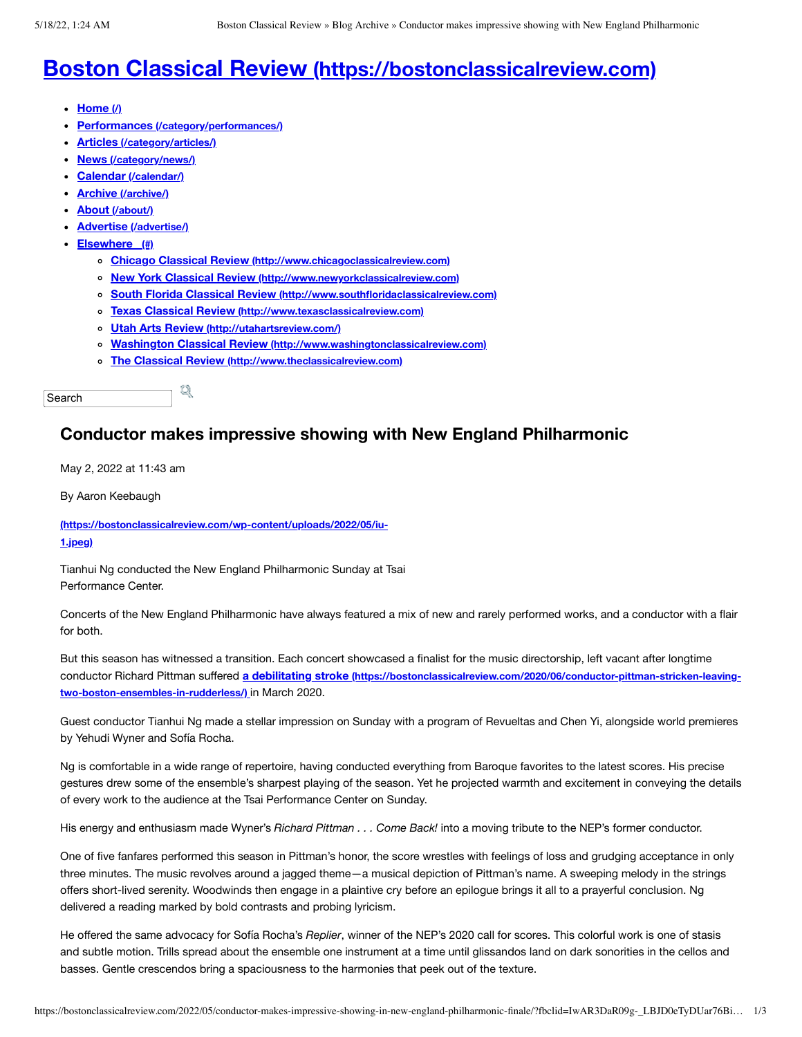## **Boston Classical Review [\(https://bostonclassicalreview.com\)](https://bostonclassicalreview.com/)**

- **[Home](https://bostonclassicalreview.com/) (/)**
- **Performances [\(/category/performances/\)](https://bostonclassicalreview.com/category/performances/)**  $\bullet$
- **Articles [\(/category/articles/\)](https://bostonclassicalreview.com/category/articles/)**
- **News [\(/category/news/\)](https://bostonclassicalreview.com/category/news/)**
- **Calendar [\(/calendar/\)](https://bostonclassicalreview.com/calendar/)**
- **Archive [\(/archive/\)](https://bostonclassicalreview.com/archive/)**
- **About [\(/about/\)](https://bostonclassicalreview.com/about/)**
- **Advertise [\(/advertise/\)](https://bostonclassicalreview.com/advertise/)**
- **Elsewhere (#)**
	- **Chicago Classical Review [\(http://www.chicagoclassicalreview.com\)](http://www.chicagoclassicalreview.com/)**
	- **New York Classical Review [\(http://www.newyorkclassicalreview.com\)](http://www.newyorkclassicalreview.com/)**
	- **South Florida Classical Review [\(http://www.southfloridaclassicalreview.com\)](http://www.southfloridaclassicalreview.com/)**
	- **Texas Classical Review [\(http://www.texasclassicalreview.com\)](http://www.texasclassicalreview.com/)**
	- **Utah Arts Review [\(http://utahartsreview.com/\)](http://utahartsreview.com/)**

q

- **Washington Classical Review [\(http://www.washingtonclassicalreview.com\)](http://www.washingtonclassicalreview.com/)**
- **The Classical Review [\(http://www.theclassicalreview.com\)](http://www.theclassicalreview.com/)**

```
Search
```
## **Conductor makes impressive showing with New England Philharmonic**

May 2, 2022 at 11:43 am

By Aaron Keebaugh

**[\(https://bostonclassicalreview.com/wp-content/uploads/2022/05/iu-](https://bostonclassicalreview.com/wp-content/uploads/2022/05/iu-1.jpeg)1.jpeg)**

Tianhui Ng conducted the New England Philharmonic Sunday at Tsai Performance Center.

Concerts of the New England Philharmonic have always featured a mix of new and rarely performed works, and a conductor with a flair for both.

But this season has witnessed a transition. Each concert showcased a finalist for the music directorship, left vacant after longtime conductor Richard Pittman suffered **a debilitating stroke [\(https://bostonclassicalreview.com/2020/06/conductor-pittman-stricken-leaving](https://bostonclassicalreview.com/2020/06/conductor-pittman-stricken-leaving-two-boston-ensembles-in-rudderless/)two-boston-ensembles-in-rudderless/)** in March 2020.

Guest conductor Tianhui Ng made a stellar impression on Sunday with a program of Revueltas and Chen Yi, alongside world premieres by Yehudi Wyner and Sofía Rocha.

Ng is comfortable in a wide range of repertoire, having conducted everything from Baroque favorites to the latest scores. His precise gestures drew some of the ensemble's sharpest playing of the season. Yet he projected warmth and excitement in conveying the details of every work to the audience at the Tsai Performance Center on Sunday.

His energy and enthusiasm made Wyner's *Richard Pittman . . . Come Back!* into a moving tribute to the NEP's former conductor.

One of five fanfares performed this season in Pittman's honor, the score wrestles with feelings of loss and grudging acceptance in only three minutes. The music revolves around a jagged theme—a musical depiction of Pittman's name. A sweeping melody in the strings offers short-lived serenity. Woodwinds then engage in a plaintive cry before an epilogue brings it all to a prayerful conclusion. Ng delivered a reading marked by bold contrasts and probing lyricism.

He offered the same advocacy for Sofía Rocha's *Replier*, winner of the NEP's 2020 call for scores. This colorful work is one of stasis and subtle motion. Trills spread about the ensemble one instrument at a time until glissandos land on dark sonorities in the cellos and basses. Gentle crescendos bring a spaciousness to the harmonies that peek out of the texture.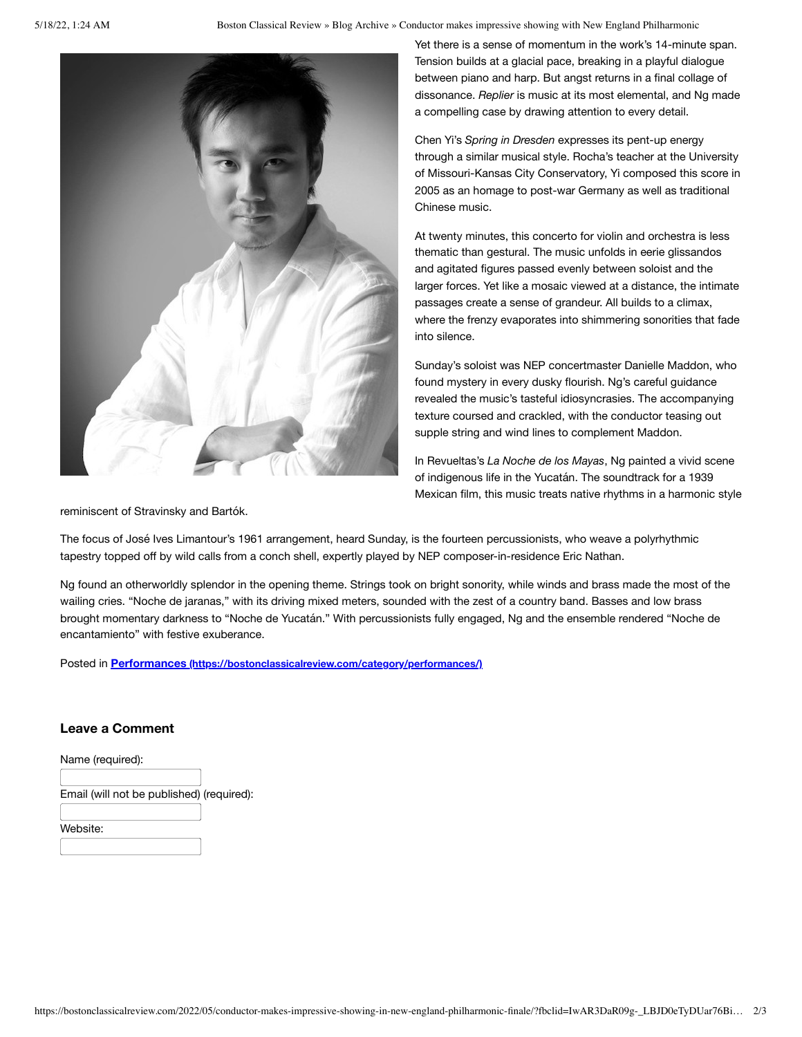5/18/22, 1:24 AM Boston Classical Review » Blog Archive » Conductor makes impressive showing with New England Philharmonic



Yet there is a sense of momentum in the work's 14-minute span. Tension builds at a glacial pace, breaking in a playful dialogue between piano and harp. But angst returns in a final collage of dissonance. *Replier* is music at its most elemental, and Ng made a compelling case by drawing attention to every detail.

Chen Yi's *Spring in Dresden* expresses its pent-up energy through a similar musical style. Rocha's teacher at the University of Missouri-Kansas City Conservatory, Yi composed this score in 2005 as an homage to post-war Germany as well as traditional Chinese music.

At twenty minutes, this concerto for violin and orchestra is less thematic than gestural. The music unfolds in eerie glissandos and agitated figures passed evenly between soloist and the larger forces. Yet like a mosaic viewed at a distance, the intimate passages create a sense of grandeur. All builds to a climax, where the frenzy evaporates into shimmering sonorities that fade into silence.

Sunday's soloist was NEP concertmaster Danielle Maddon, who found mystery in every dusky flourish. Ng's careful guidance revealed the music's tasteful idiosyncrasies. The accompanying texture coursed and crackled, with the conductor teasing out supple string and wind lines to complement Maddon.

In Revueltas's *La Noche de los Mayas*, Ng painted a vivid scene of indigenous life in the Yucatán. The soundtrack for a 1939 Mexican film, this music treats native rhythms in a harmonic style

reminiscent of Stravinsky and Bartók.

The focus of José Ives Limantour's 1961 arrangement, heard Sunday, is the fourteen percussionists, who weave a polyrhythmic tapestry topped off by wild calls from a conch shell, expertly played by NEP composer-in-residence Eric Nathan.

Ng found an otherworldly splendor in the opening theme. Strings took on bright sonority, while winds and brass made the most of the wailing cries. "Noche de jaranas," with its driving mixed meters, sounded with the zest of a country band. Basses and low brass brought momentary darkness to "Noche de Yucatán." With percussionists fully engaged, Ng and the ensemble rendered "Noche de encantamiento" with festive exuberance.

Posted in **Performances [\(https://bostonclassicalreview.com/category/performances/\)](https://bostonclassicalreview.com/category/performances/)**

## **Leave a Comment**

Name (required):

Email (will not be published) (required):

Website: